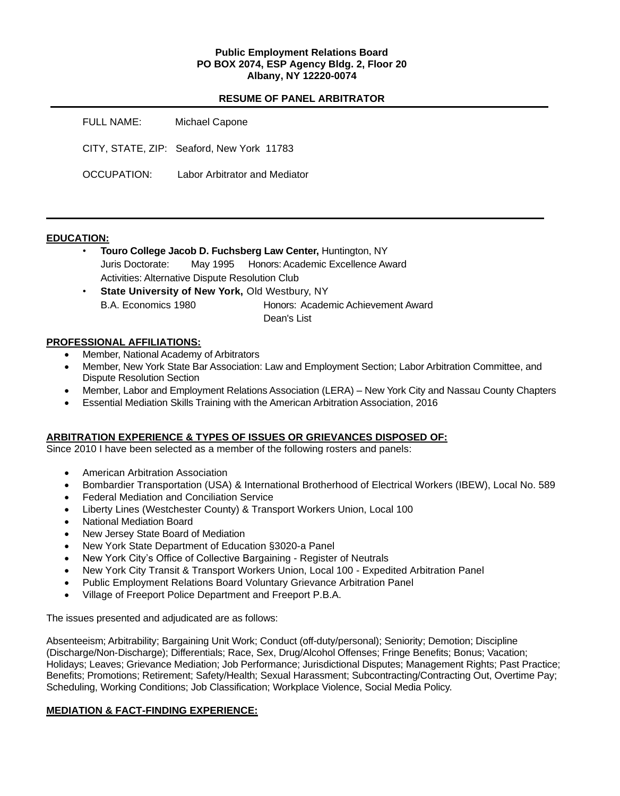## **Public Employment Relations Board PO BOX 2074, ESP Agency Bldg. 2, Floor 20 Albany, NY 12220-0074**

#### **RESUME OF PANEL ARBITRATOR**

| FULL NAME:  | Michael Capone                            |
|-------------|-------------------------------------------|
|             | CITY, STATE, ZIP: Seaford, New York 11783 |
| OCCUPATION: | Labor Arbitrator and Mediator             |

#### **EDUCATION:**

- **Touro College Jacob D. Fuchsberg Law Center,** Huntington, NY Juris Doctorate: May 1995Honors: Academic Excellence Award Activities: Alternative Dispute Resolution Club
- **State University of New York, Old Westbury, NY** B.A. Economics 1980 Honors: Academic Achievement Award Dean's List

#### **PROFESSIONAL AFFILIATIONS:**

- Member, National Academy of Arbitrators
- Member, New York State Bar Association: Law and Employment Section; Labor Arbitration Committee, and Dispute Resolution Section
- Member, Labor and Employment Relations Association (LERA) New York City and Nassau County Chapters
- Essential Mediation Skills Training with the American Arbitration Association, 2016

## **ARBITRATION EXPERIENCE & TYPES OF ISSUES OR GRIEVANCES DISPOSED OF:**

Since 2010 I have been selected as a member of the following rosters and panels:

- American Arbitration Association
- Bombardier Transportation (USA) & International Brotherhood of Electrical Workers (IBEW), Local No. 589
- Federal Mediation and Conciliation Service
- Liberty Lines (Westchester County) & Transport Workers Union, Local 100
- National Mediation Board
- New Jersey State Board of Mediation
- New York State Department of Education §3020-a Panel
- New York City's Office of Collective Bargaining Register of Neutrals
- New York City Transit & Transport Workers Union, Local 100 Expedited Arbitration Panel
- Public Employment Relations Board Voluntary Grievance Arbitration Panel
- Village of Freeport Police Department and Freeport P.B.A.

The issues presented and adjudicated are as follows:

Absenteeism; Arbitrability; Bargaining Unit Work; Conduct (off-duty/personal); Seniority; Demotion; Discipline (Discharge/Non-Discharge); Differentials; Race, Sex, Drug/Alcohol Offenses; Fringe Benefits; Bonus; Vacation; Holidays; Leaves; Grievance Mediation; Job Performance; Jurisdictional Disputes; Management Rights; Past Practice; Benefits; Promotions; Retirement; Safety/Health; Sexual Harassment; Subcontracting/Contracting Out, Overtime Pay; Scheduling, Working Conditions; Job Classification; Workplace Violence, Social Media Policy.

## **MEDIATION & FACT-FINDING EXPERIENCE:**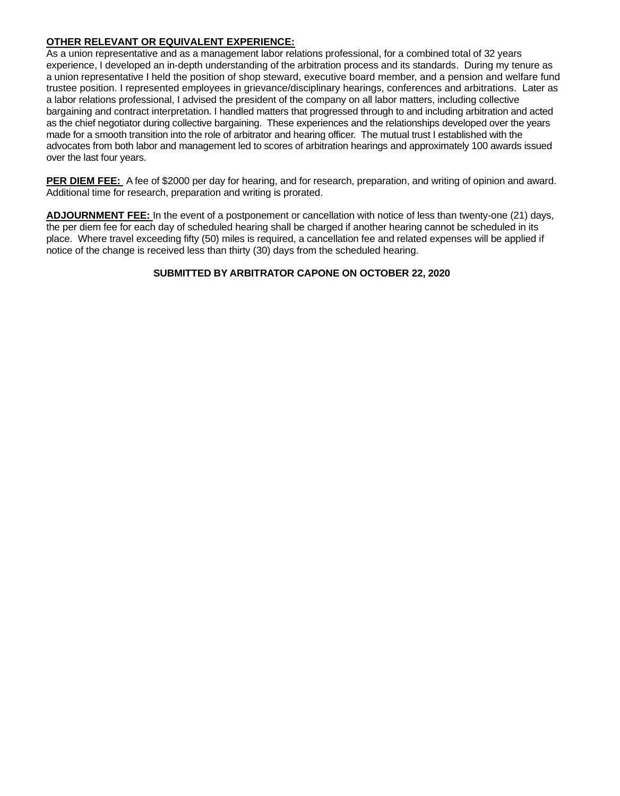# **OTHER RELEVANT OR EQUIVALENT EXPERIENCE:**

As a union representative and as a management labor relations professional, for a combined total of 32 years experience, I developed an in-depth understanding of the arbitration process and its standards. During my tenure as a union representative I held the position of shop steward, executive board member, and a pension and welfare fund trustee position. I represented employees in grievance/disciplinary hearings, conferences and arbitrations. Later as a labor relations professional, I advised the president of the company on all labor matters, including collective bargaining and contract interpretation. I handled matters that progressed through to and including arbitration and acted as the chief negotiator during collective bargaining. These experiences and the relationships developed over the years made for a smooth transition into the role of arbitrator and hearing officer. The mutual trust I established with the advocates from both labor and management led to scores of arbitration hearings and approximately 100 awards issued over the last four years.

**PER DIEM FEE:** A fee of \$2000 per day for hearing, and for research, preparation, and writing of opinion and award. Additional time for research, preparation and writing is prorated.

**ADJOURNMENT FEE:** In the event of a postponement or cancellation with notice of less than twenty-one (21) days, the per diem fee for each day of scheduled hearing shall be charged if another hearing cannot be scheduled in its place. Where travel exceeding fifty (50) miles is required, a cancellation fee and related expenses will be applied if notice of the change is received less than thirty (30) days from the scheduled hearing.

# **SUBMITTED BY ARBITRATOR CAPONE ON OCTOBER 22, 2020**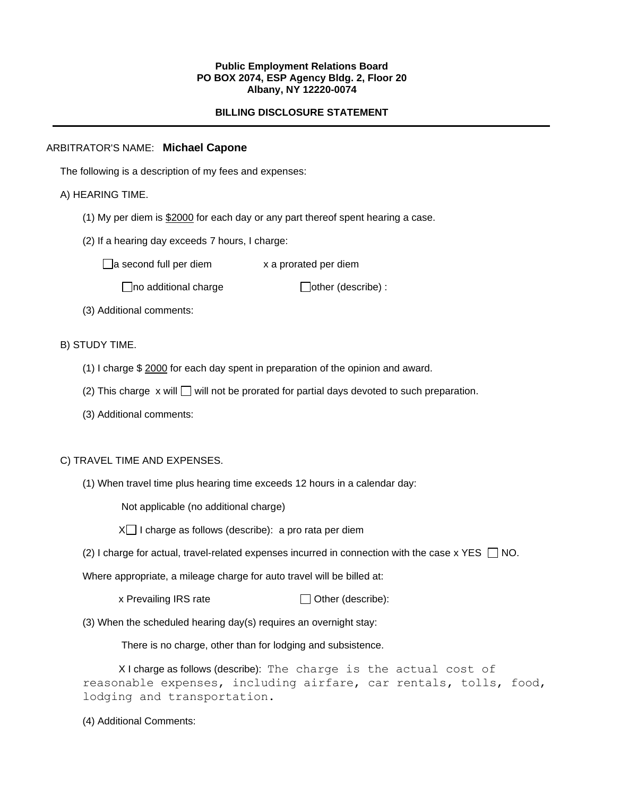#### **Public Employment Relations Board PO BOX 2074, ESP Agency Bldg. 2, Floor 20 Albany, NY 12220-0074**

## **BILLING DISCLOSURE STATEMENT**

## ARBITRATOR'S NAME: **Michael Capone**

The following is a description of my fees and expenses:

## A) HEARING TIME.

- (1) My per diem is \$2000 for each day or any part thereof spent hearing a case.
- (2) If a hearing day exceeds 7 hours, I charge:

 $\Box$ a second full per diem  $x$  a prorated per diem

 $\Box$ no additional charge  $\Box$ other (describe) :

(3) Additional comments:

## B) STUDY TIME.

- (1) I charge \$ 2000 for each day spent in preparation of the opinion and award.
- (2) This charge  $x$  will  $\Box$  will not be prorated for partial days devoted to such preparation.
- (3) Additional comments:

## C) TRAVEL TIME AND EXPENSES.

(1) When travel time plus hearing time exceeds 12 hours in a calendar day:

Not applicable (no additional charge)

 $X \cap I$  charge as follows (describe): a pro rata per diem

(2) I charge for actual, travel-related expenses incurred in connection with the case x YES  $\Box$  NO.

Where appropriate, a mileage charge for auto travel will be billed at:

- x Prevailing IRS rate  $\Box$  Other (describe):
- (3) When the scheduled hearing day(s) requires an overnight stay:

There is no charge, other than for lodging and subsistence.

X I charge as follows (describe): The charge is the actual cost of reasonable expenses, including airfare, car rentals, tolls, food, lodging and transportation.

(4) Additional Comments: